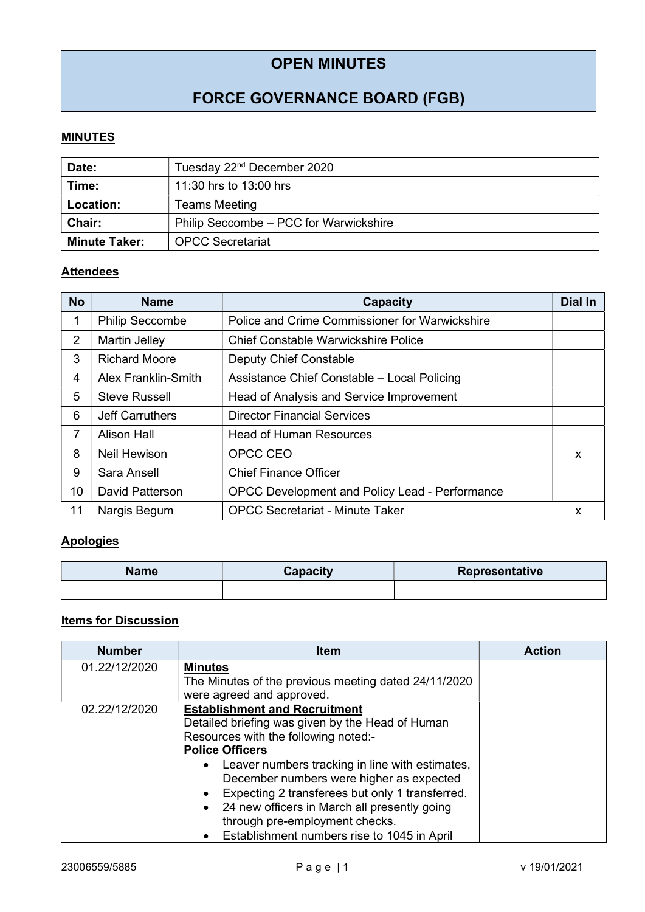## OPEN MINUTES

# FORCE GOVERNANCE BOARD (FGB)

#### **MINUTES**

| Date:                | Tuesday 22 <sup>nd</sup> December 2020 |  |
|----------------------|----------------------------------------|--|
| Time:                | 11:30 hrs to 13:00 hrs                 |  |
| <b>Location:</b>     | <b>Teams Meeting</b>                   |  |
| <b>Chair:</b>        | Philip Seccombe - PCC for Warwickshire |  |
| <b>Minute Taker:</b> | <b>OPCC Secretariat</b>                |  |

### **Attendees**

| <b>No</b>      | <b>Name</b>                | <b>Capacity</b>                                | Dial In |
|----------------|----------------------------|------------------------------------------------|---------|
| 1              | <b>Philip Seccombe</b>     | Police and Crime Commissioner for Warwickshire |         |
| $\overline{2}$ | Martin Jelley              | <b>Chief Constable Warwickshire Police</b>     |         |
| 3              | <b>Richard Moore</b>       | <b>Deputy Chief Constable</b>                  |         |
| 4              | <b>Alex Franklin-Smith</b> | Assistance Chief Constable - Local Policing    |         |
| 5              | <b>Steve Russell</b>       | Head of Analysis and Service Improvement       |         |
| 6              | <b>Jeff Carruthers</b>     | <b>Director Financial Services</b>             |         |
| 7              | Alison Hall                | <b>Head of Human Resources</b>                 |         |
| 8              | Neil Hewison               | OPCC CEO                                       | X       |
| 9              | Sara Ansell                | <b>Chief Finance Officer</b>                   |         |
| 10             | <b>David Patterson</b>     | OPCC Development and Policy Lead - Performance |         |
| 11             | Nargis Begum               | <b>OPCC Secretariat - Minute Taker</b>         | x       |

### **Apologies**

| Name | Capacity | Representative |
|------|----------|----------------|
|      |          |                |

#### **Items for Discussion**

| <b>Number</b> | <b>Item</b>                                                  | <b>Action</b> |
|---------------|--------------------------------------------------------------|---------------|
| 01.22/12/2020 | <b>Minutes</b>                                               |               |
|               | The Minutes of the previous meeting dated 24/11/2020         |               |
|               | were agreed and approved.                                    |               |
| 02.22/12/2020 | <b>Establishment and Recruitment</b>                         |               |
|               | Detailed briefing was given by the Head of Human             |               |
|               | Resources with the following noted:-                         |               |
|               | <b>Police Officers</b>                                       |               |
|               | Leaver numbers tracking in line with estimates,<br>$\bullet$ |               |
|               | December numbers were higher as expected                     |               |
|               | Expecting 2 transferees but only 1 transferred.              |               |
|               | 24 new officers in March all presently going<br>$\bullet$    |               |
|               | through pre-employment checks.                               |               |
|               | Establishment numbers rise to 1045 in April                  |               |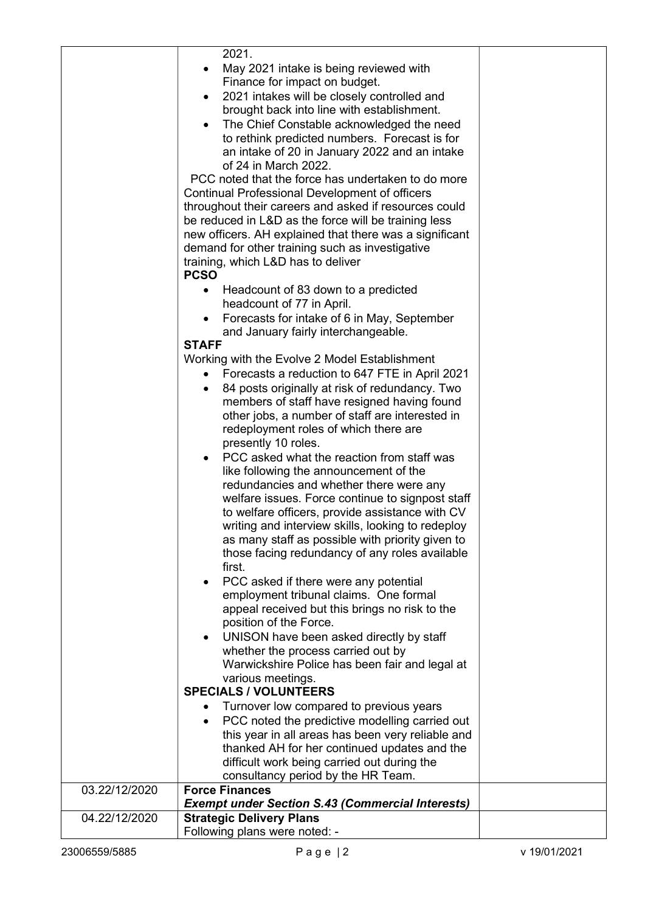|               | 2021.                                                       |  |
|---------------|-------------------------------------------------------------|--|
|               | May 2021 intake is being reviewed with                      |  |
|               | Finance for impact on budget.                               |  |
|               | 2021 intakes will be closely controlled and<br>$\bullet$    |  |
|               | brought back into line with establishment.                  |  |
|               |                                                             |  |
|               | The Chief Constable acknowledged the need<br>$\bullet$      |  |
|               | to rethink predicted numbers. Forecast is for               |  |
|               | an intake of 20 in January 2022 and an intake               |  |
|               | of 24 in March 2022.                                        |  |
|               | PCC noted that the force has undertaken to do more          |  |
|               | <b>Continual Professional Development of officers</b>       |  |
|               | throughout their careers and asked if resources could       |  |
|               | be reduced in L&D as the force will be training less        |  |
|               | new officers. AH explained that there was a significant     |  |
|               | demand for other training such as investigative             |  |
|               | training, which L&D has to deliver                          |  |
|               | <b>PCSO</b>                                                 |  |
|               |                                                             |  |
|               | Headcount of 83 down to a predicted                         |  |
|               | headcount of 77 in April.                                   |  |
|               | Forecasts for intake of 6 in May, September<br>$\bullet$    |  |
|               | and January fairly interchangeable.                         |  |
|               | <b>STAFF</b>                                                |  |
|               | Working with the Evolve 2 Model Establishment               |  |
|               | Forecasts a reduction to 647 FTE in April 2021              |  |
|               | 84 posts originally at risk of redundancy. Two<br>$\bullet$ |  |
|               | members of staff have resigned having found                 |  |
|               | other jobs, a number of staff are interested in             |  |
|               |                                                             |  |
|               | redeployment roles of which there are                       |  |
|               | presently 10 roles.                                         |  |
|               | PCC asked what the reaction from staff was                  |  |
|               | like following the announcement of the                      |  |
|               | redundancies and whether there were any                     |  |
|               | welfare issues. Force continue to signpost staff            |  |
|               | to welfare officers, provide assistance with CV             |  |
|               | writing and interview skills, looking to redeploy           |  |
|               | as many staff as possible with priority given to            |  |
|               | those facing redundancy of any roles available              |  |
|               | first.                                                      |  |
|               |                                                             |  |
|               | PCC asked if there were any potential                       |  |
|               | employment tribunal claims. One formal                      |  |
|               | appeal received but this brings no risk to the              |  |
|               | position of the Force.                                      |  |
|               | UNISON have been asked directly by staff                    |  |
|               | whether the process carried out by                          |  |
|               | Warwickshire Police has been fair and legal at              |  |
|               | various meetings.                                           |  |
|               | <b>SPECIALS / VOLUNTEERS</b>                                |  |
|               | Turnover low compared to previous years                     |  |
|               | PCC noted the predictive modelling carried out<br>$\bullet$ |  |
|               |                                                             |  |
|               | this year in all areas has been very reliable and           |  |
|               | thanked AH for her continued updates and the                |  |
|               | difficult work being carried out during the                 |  |
|               | consultancy period by the HR Team.                          |  |
| 03.22/12/2020 | <b>Force Finances</b>                                       |  |
|               | <b>Exempt under Section S.43 (Commercial Interests)</b>     |  |
| 04.22/12/2020 | <b>Strategic Delivery Plans</b>                             |  |
|               | Following plans were noted: -                               |  |